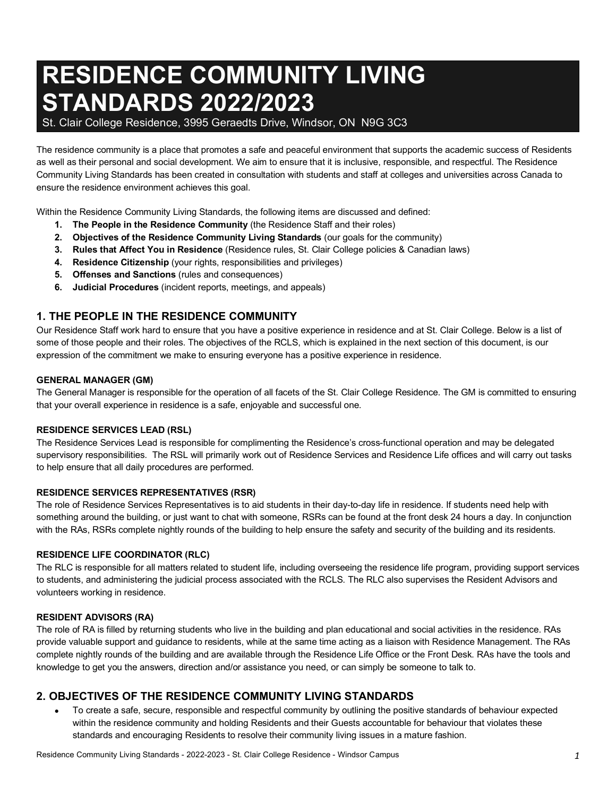# **RESIDENCE COMMUNITY LIVING STANDARDS 2022/2023**

St. Clair College Residence, 3995 Geraedts Drive, Windsor, ON N9G 3C3

The residence community is a place that promotes a safe and peaceful environment that supports the academic success of Residents as well as their personal and social development. We aim to ensure that it is inclusive, responsible, and respectful. The Residence Community Living Standards has been created in consultation with students and staff at colleges and universities across Canada to ensure the residence environment achieves this goal.

Within the Residence Community Living Standards, the following items are discussed and defined:

- **1. The People in the Residence Community** (the Residence Staff and their roles)
- **2. Objectives of the Residence Community Living Standards** (our goals for the community)
- **3. Rules that Affect You in Residence** (Residence rules, St. Clair College policies & Canadian laws)
- **4. Residence Citizenship** (your rights, responsibilities and privileges)
- **5. Offenses and Sanctions** (rules and consequences)
- **6. Judicial Procedures** (incident reports, meetings, and appeals)

## **1. THE PEOPLE IN THE RESIDENCE COMMUNITY**

Our Residence Staff work hard to ensure that you have a positive experience in residence and at St. Clair College. Below is a list of some of those people and their roles. The objectives of the RCLS, which is explained in the next section of this document, is our expression of the commitment we make to ensuring everyone has a positive experience in residence.

#### **GENERAL MANAGER (GM)**

The General Manager is responsible for the operation of all facets of the St. Clair College Residence. The GM is committed to ensuring that your overall experience in residence is a safe, enjoyable and successful one.

#### **RESIDENCE SERVICES LEAD (RSL)**

The Residence Services Lead is responsible for complimenting the Residence's cross-functional operation and may be delegated supervisory responsibilities. The RSL will primarily work out of Residence Services and Residence Life offices and will carry out tasks to help ensure that all daily procedures are performed.

#### **RESIDENCE SERVICES REPRESENTATIVES (RSR)**

The role of Residence Services Representatives is to aid students in their day-to-day life in residence. If students need help with something around the building, or just want to chat with someone, RSRs can be found at the front desk 24 hours a day. In conjunction with the RAs, RSRs complete nightly rounds of the building to help ensure the safety and security of the building and its residents.

#### **RESIDENCE LIFE COORDINATOR (RLC)**

The RLC is responsible for all matters related to student life, including overseeing the residence life program, providing support services to students, and administering the judicial process associated with the RCLS. The RLC also supervises the Resident Advisors and volunteers working in residence.

#### **RESIDENT ADVISORS (RA)**

The role of RA is filled by returning students who live in the building and plan educational and social activities in the residence. RAs provide valuable support and guidance to residents, while at the same time acting as a liaison with Residence Management. The RAs complete nightly rounds of the building and are available through the Residence Life Office or the Front Desk. RAs have the tools and knowledge to get you the answers, direction and/or assistance you need, or can simply be someone to talk to.

## **2. OBJECTIVES OF THE RESIDENCE COMMUNITY LIVING STANDARDS**

• To create a safe, secure, responsible and respectful community by outlining the positive standards of behaviour expected within the residence community and holding Residents and their Guests accountable for behaviour that violates these standards and encouraging Residents to resolve their community living issues in a mature fashion.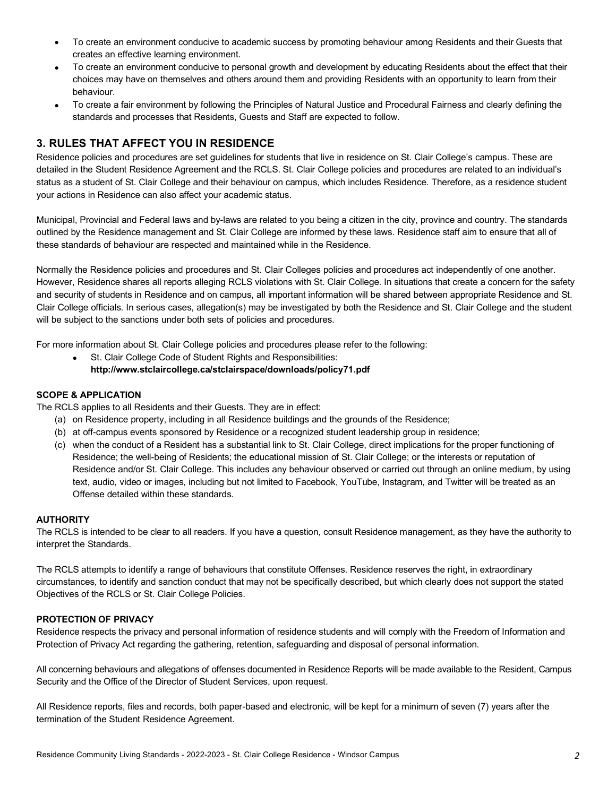- To create an environment conducive to academic success by promoting behaviour among Residents and their Guests that creates an effective learning environment.
- To create an environment conducive to personal growth and development by educating Residents about the effect that their choices may have on themselves and others around them and providing Residents with an opportunity to learn from their behaviour.
- To create a fair environment by following the Principles of Natural Justice and Procedural Fairness and clearly defining the standards and processes that Residents, Guests and Staff are expected to follow.

# **3. RULES THAT AFFECT YOU IN RESIDENCE**

Residence policies and procedures are set guidelines for students that live in residence on St. Clair College's campus. These are detailed in the Student Residence Agreement and the RCLS. St. Clair College policies and procedures are related to an individual's status as a student of St. Clair College and their behaviour on campus, which includes Residence. Therefore, as a residence student your actions in Residence can also affect your academic status.

Municipal, Provincial and Federal laws and by-laws are related to you being a citizen in the city, province and country. The standards outlined by the Residence management and St. Clair College are informed by these laws. Residence staff aim to ensure that all of these standards of behaviour are respected and maintained while in the Residence.

Normally the Residence policies and procedures and St. Clair Colleges policies and procedures act independently of one another. However, Residence shares all reports alleging RCLS violations with St. Clair College. In situations that create a concern for the safety and security of students in Residence and on campus, all important information will be shared between appropriate Residence and St. Clair College officials. In serious cases, allegation(s) may be investigated by both the Residence and St. Clair College and the student will be subject to the sanctions under both sets of policies and procedures.

For more information about St. Clair College policies and procedures please refer to the following:

St. Clair College Code of Student Rights and Responsibilities: **http://www.stclaircollege.ca/stclairspace/downloads/policy71.pdf** 

## **SCOPE & APPLICATION**

The RCLS applies to all Residents and their Guests. They are in effect:

- (a) on Residence property, including in all Residence buildings and the grounds of the Residence;
- (b) at off-campus events sponsored by Residence or a recognized student leadership group in residence;
- (c) when the conduct of a Resident has a substantial link to St. Clair College, direct implications for the proper functioning of Residence; the well-being of Residents; the educational mission of St. Clair College; or the interests or reputation of Residence and/or St. Clair College. This includes any behaviour observed or carried out through an online medium, by using text, audio, video or images, including but not limited to Facebook, YouTube, Instagram, and Twitter will be treated as an Offense detailed within these standards.

### **AUTHORITY**

The RCLS is intended to be clear to all readers. If you have a question, consult Residence management, as they have the authority to interpret the Standards.

The RCLS attempts to identify a range of behaviours that constitute Offenses. Residence reserves the right, in extraordinary circumstances, to identify and sanction conduct that may not be specifically described, but which clearly does not support the stated Objectives of the RCLS or St. Clair College Policies.

#### **PROTECTION OF PRIVACY**

Residence respects the privacy and personal information of residence students and will comply with the Freedom of Information and Protection of Privacy Act regarding the gathering, retention, safeguarding and disposal of personal information.

All concerning behaviours and allegations of offenses documented in Residence Reports will be made available to the Resident, Campus Security and the Office of the Director of Student Services, upon request.

All Residence reports, files and records, both paper-based and electronic, will be kept for a minimum of seven (7) years after the termination of the Student Residence Agreement.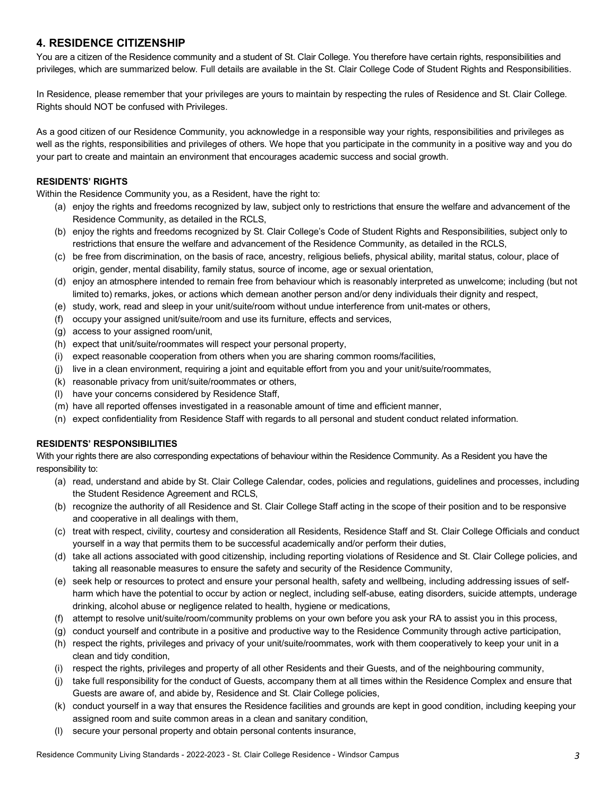# **4. RESIDENCE CITIZENSHIP**

You are a citizen of the Residence community and a student of St. Clair College. You therefore have certain rights, responsibilities and privileges, which are summarized below. Full details are available in the St. Clair College Code of Student Rights and Responsibilities.

In Residence, please remember that your privileges are yours to maintain by respecting the rules of Residence and St. Clair College. Rights should NOT be confused with Privileges.

As a good citizen of our Residence Community, you acknowledge in a responsible way your rights, responsibilities and privileges as well as the rights, responsibilities and privileges of others. We hope that you participate in the community in a positive way and you do your part to create and maintain an environment that encourages academic success and social growth.

## **RESIDENTS' RIGHTS**

Within the Residence Community you, as a Resident, have the right to:

- (a) enjoy the rights and freedoms recognized by law, subject only to restrictions that ensure the welfare and advancement of the Residence Community, as detailed in the RCLS,
- (b) enjoy the rights and freedoms recognized by St. Clair College's Code of Student Rights and Responsibilities, subject only to restrictions that ensure the welfare and advancement of the Residence Community, as detailed in the RCLS,
- (c) be free from discrimination, on the basis of race, ancestry, religious beliefs, physical ability, marital status, colour, place of origin, gender, mental disability, family status, source of income, age or sexual orientation,
- (d) enjoy an atmosphere intended to remain free from behaviour which is reasonably interpreted as unwelcome; including (but not limited to) remarks, jokes, or actions which demean another person and/or deny individuals their dignity and respect,
- (e) study, work, read and sleep in your unit/suite/room without undue interference from unit-mates or others,
- (f) occupy your assigned unit/suite/room and use its furniture, effects and services,
- (g) access to your assigned room/unit,
- (h) expect that unit/suite/roommates will respect your personal property,
- (i) expect reasonable cooperation from others when you are sharing common rooms/facilities,
- (j) live in a clean environment, requiring a joint and equitable effort from you and your unit/suite/roommates,
- (k) reasonable privacy from unit/suite/roommates or others,
- (l) have your concerns considered by Residence Staff,
- (m) have all reported offenses investigated in a reasonable amount of time and efficient manner,
- (n) expect confidentiality from Residence Staff with regards to all personal and student conduct related information.

### **RESIDENTS' RESPONSIBILITIES**

With your rights there are also corresponding expectations of behaviour within the Residence Community. As a Resident you have the responsibility to:

- (a) read, understand and abide by St. Clair College Calendar, codes, policies and regulations, guidelines and processes, including the Student Residence Agreement and RCLS,
- (b) recognize the authority of all Residence and St. Clair College Staff acting in the scope of their position and to be responsive and cooperative in all dealings with them,
- (c) treat with respect, civility, courtesy and consideration all Residents, Residence Staff and St. Clair College Officials and conduct yourself in a way that permits them to be successful academically and/or perform their duties,
- (d) take all actions associated with good citizenship, including reporting violations of Residence and St. Clair College policies, and taking all reasonable measures to ensure the safety and security of the Residence Community,
- (e) seek help or resources to protect and ensure your personal health, safety and wellbeing, including addressing issues of selfharm which have the potential to occur by action or neglect, including self-abuse, eating disorders, suicide attempts, underage drinking, alcohol abuse or negligence related to health, hygiene or medications,
- (f) attempt to resolve unit/suite/room/community problems on your own before you ask your RA to assist you in this process,
- (g) conduct yourself and contribute in a positive and productive way to the Residence Community through active participation,
- (h) respect the rights, privileges and privacy of your unit/suite/roommates, work with them cooperatively to keep your unit in a clean and tidy condition,
- (i) respect the rights, privileges and property of all other Residents and their Guests, and of the neighbouring community,
- (j) take full responsibility for the conduct of Guests, accompany them at all times within the Residence Complex and ensure that Guests are aware of, and abide by, Residence and St. Clair College policies,
- (k) conduct yourself in a way that ensures the Residence facilities and grounds are kept in good condition, including keeping your assigned room and suite common areas in a clean and sanitary condition,
- (l) secure your personal property and obtain personal contents insurance,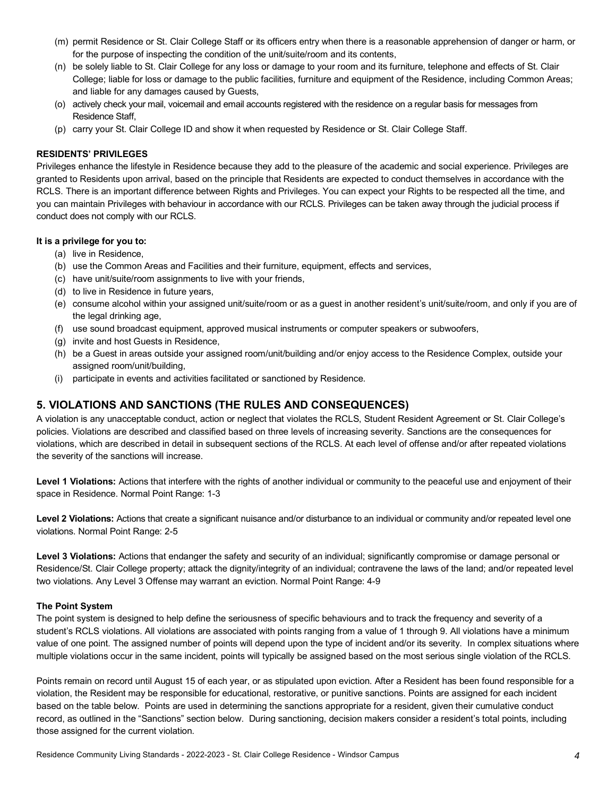- (m) permit Residence or St. Clair College Staff or its officers entry when there is a reasonable apprehension of danger or harm, or for the purpose of inspecting the condition of the unit/suite/room and its contents,
- (n) be solely liable to St. Clair College for any loss or damage to your room and its furniture, telephone and effects of St. Clair College; liable for loss or damage to the public facilities, furniture and equipment of the Residence, including Common Areas; and liable for any damages caused by Guests,
- (o) actively check your mail, voicemail and email accounts registered with the residence on a regular basis for messages from Residence Staff,
- (p) carry your St. Clair College ID and show it when requested by Residence or St. Clair College Staff.

#### **RESIDENTS' PRIVILEGES**

Privileges enhance the lifestyle in Residence because they add to the pleasure of the academic and social experience. Privileges are granted to Residents upon arrival, based on the principle that Residents are expected to conduct themselves in accordance with the RCLS. There is an important difference between Rights and Privileges. You can expect your Rights to be respected all the time, and you can maintain Privileges with behaviour in accordance with our RCLS. Privileges can be taken away through the judicial process if conduct does not comply with our RCLS.

#### **It is a privilege for you to:**

- (a) live in Residence,
- (b) use the Common Areas and Facilities and their furniture, equipment, effects and services,
- (c) have unit/suite/room assignments to live with your friends,
- (d) to live in Residence in future years,
- (e) consume alcohol within your assigned unit/suite/room or as a guest in another resident's unit/suite/room, and only if you are of the legal drinking age,
- (f) use sound broadcast equipment, approved musical instruments or computer speakers or subwoofers,
- (g) invite and host Guests in Residence,
- (h) be a Guest in areas outside your assigned room/unit/building and/or enjoy access to the Residence Complex, outside your assigned room/unit/building,
- (i) participate in events and activities facilitated or sanctioned by Residence.

## **5. VIOLATIONS AND SANCTIONS (THE RULES AND CONSEQUENCES)**

A violation is any unacceptable conduct, action or neglect that violates the RCLS, Student Resident Agreement or St. Clair College's policies. Violations are described and classified based on three levels of increasing severity. Sanctions are the consequences for violations, which are described in detail in subsequent sections of the RCLS. At each level of offense and/or after repeated violations the severity of the sanctions will increase.

**Level 1 Violations:** Actions that interfere with the rights of another individual or community to the peaceful use and enjoyment of their space in Residence. Normal Point Range: 1-3

Level 2 Violations: Actions that create a significant nuisance and/or disturbance to an individual or community and/or repeated level one violations. Normal Point Range: 2-5

**Level 3 Violations:** Actions that endanger the safety and security of an individual; significantly compromise or damage personal or Residence/St. Clair College property; attack the dignity/integrity of an individual; contravene the laws of the land; and/or repeated level two violations. Any Level 3 Offense may warrant an eviction. Normal Point Range: 4-9

#### **The Point System**

The point system is designed to help define the seriousness of specific behaviours and to track the frequency and severity of a student's RCLS violations. All violations are associated with points ranging from a value of 1 through 9. All violations have a minimum value of one point. The assigned number of points will depend upon the type of incident and/or its severity. In complex situations where multiple violations occur in the same incident, points will typically be assigned based on the most serious single violation of the RCLS.

Points remain on record until August 15 of each year, or as stipulated upon eviction. After a Resident has been found responsible for a violation, the Resident may be responsible for educational, restorative, or punitive sanctions. Points are assigned for each incident based on the table below. Points are used in determining the sanctions appropriate for a resident, given their cumulative conduct record, as outlined in the "Sanctions" section below. During sanctioning, decision makers consider a resident's total points, including those assigned for the current violation.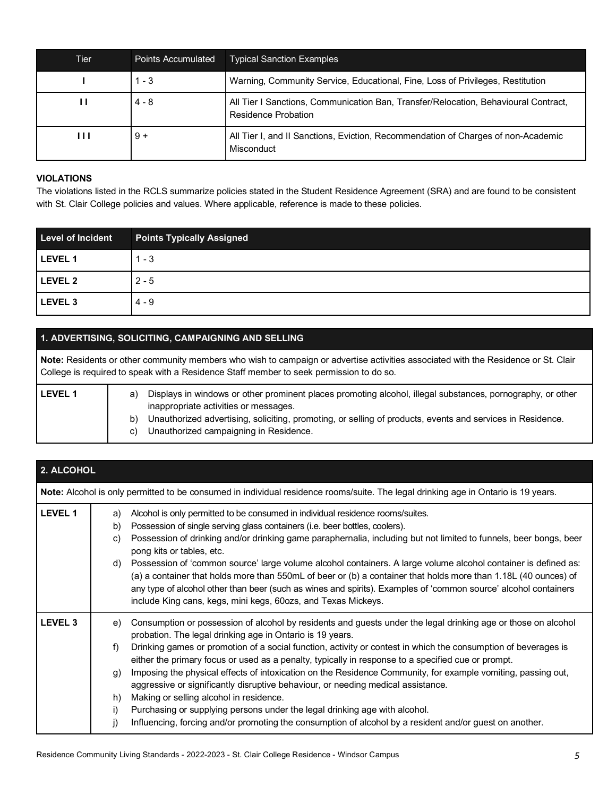| Tier | Points Accumulated | <b>Typical Sanction Examples</b>                                                                           |
|------|--------------------|------------------------------------------------------------------------------------------------------------|
|      | $1 - 3$            | Warning, Community Service, Educational, Fine, Loss of Privileges, Restitution                             |
| Ш    | $4 - 8$            | All Tier I Sanctions, Communication Ban, Transfer/Relocation, Behavioural Contract,<br>Residence Probation |
| ш    | $9+$               | All Tier I, and II Sanctions, Eviction, Recommendation of Charges of non-Academic<br>Misconduct            |

#### **VIOLATIONS**

The violations listed in the RCLS summarize policies stated in the Student Residence Agreement (SRA) and are found to be consistent with St. Clair College policies and values. Where applicable, reference is made to these policies.

| <b>Level of Incident</b> | <b>Points Typically Assigned</b> |
|--------------------------|----------------------------------|
| LEVEL 1                  | $1 - 3$                          |
| LEVEL 2                  | $2 - 5$                          |
| LEVEL 3                  | $4 - 9$                          |

## **1. ADVERTISING, SOLICITING, CAMPAIGNING AND SELLING**

**Note:** Residents or other community members who wish to campaign or advertise activities associated with the Residence or St. Clair College is required to speak with a Residence Staff member to seek permission to do so.

| <b>LEVEL 1</b> | Displays in windows or other prominent places promoting alcohol, illegal substances, pornography, or other<br>a) |  |
|----------------|------------------------------------------------------------------------------------------------------------------|--|
|                | inappropriate activities or messages.                                                                            |  |
|                | Unauthorized advertising, soliciting, promoting, or selling of products, events and services in Residence.<br>b) |  |
|                | Unauthorized campaigning in Residence.                                                                           |  |
|                |                                                                                                                  |  |

| 2. ALCOHOL     |                                                                                                                                                                                                                                                                                                                                                                                                                                                                                                                                                                                                                                                                                                                                                                                                                                                                                |
|----------------|--------------------------------------------------------------------------------------------------------------------------------------------------------------------------------------------------------------------------------------------------------------------------------------------------------------------------------------------------------------------------------------------------------------------------------------------------------------------------------------------------------------------------------------------------------------------------------------------------------------------------------------------------------------------------------------------------------------------------------------------------------------------------------------------------------------------------------------------------------------------------------|
|                | Note: Alcohol is only permitted to be consumed in individual residence rooms/suite. The legal drinking age in Ontario is 19 years.                                                                                                                                                                                                                                                                                                                                                                                                                                                                                                                                                                                                                                                                                                                                             |
| LEVEL 1        | Alcohol is only permitted to be consumed in individual residence rooms/suites.<br>a)<br>Possession of single serving glass containers (i.e. beer bottles, coolers).<br>b)<br>Possession of drinking and/or drinking game paraphernalia, including but not limited to funnels, beer bongs, beer<br>C)<br>pong kits or tables, etc.<br>Possession of 'common source' large volume alcohol containers. A large volume alcohol container is defined as:<br>d)<br>(a) a container that holds more than 550mL of beer or (b) a container that holds more than 1.18L (40 ounces) of<br>any type of alcohol other than beer (such as wines and spirits). Examples of 'common source' alcohol containers<br>include King cans, kegs, mini kegs, 60ozs, and Texas Mickeys.                                                                                                               |
| <b>LEVEL 3</b> | Consumption or possession of alcohol by residents and guests under the legal drinking age or those on alcohol<br>e)<br>probation. The legal drinking age in Ontario is 19 years.<br>Drinking games or promotion of a social function, activity or contest in which the consumption of beverages is<br>f)<br>either the primary focus or used as a penalty, typically in response to a specified cue or prompt.<br>Imposing the physical effects of intoxication on the Residence Community, for example vomiting, passing out,<br>g)<br>aggressive or significantly disruptive behaviour, or needing medical assistance.<br>Making or selling alcohol in residence.<br>h)<br>Purchasing or supplying persons under the legal drinking age with alcohol.<br>i)<br>j)<br>Influencing, forcing and/or promoting the consumption of alcohol by a resident and/or guest on another. |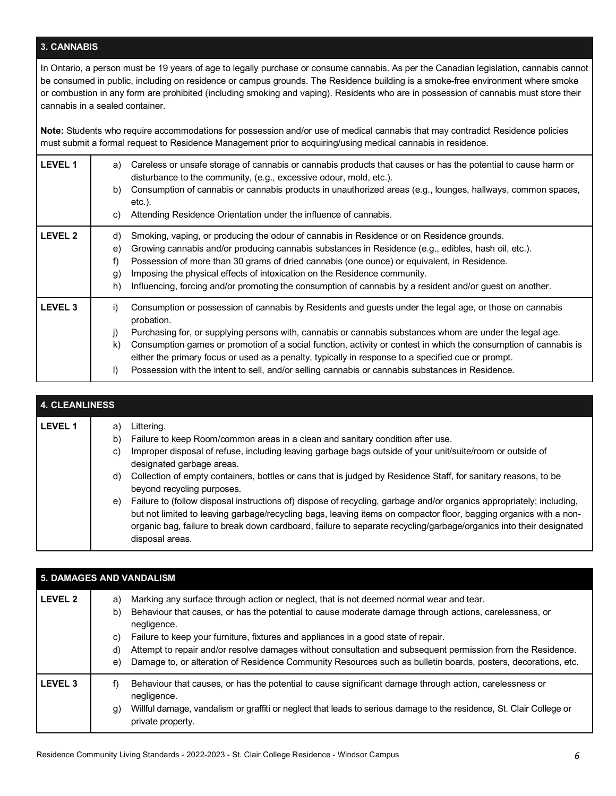## **3. CANNABIS**

In Ontario, a person must be 19 years of age to legally purchase or consume cannabis. As per the Canadian legislation, cannabis cannot be consumed in public, including on residence or campus grounds. The Residence building is a smoke-free environment where smoke or combustion in any form are prohibited (including smoking and vaping). Residents who are in possession of cannabis must store their cannabis in a sealed container.

**Note:** Students who require accommodations for possession and/or use of medical cannabis that may contradict Residence policies must submit a formal request to Residence Management prior to acquiring/using medical cannabis in residence.

| <b>LEVEL 1</b> | Careless or unsafe storage of cannabis or cannabis products that causes or has the potential to cause harm or<br>a)<br>disturbance to the community, (e.g., excessive odour, mold, etc.).<br>Consumption of cannabis or cannabis products in unauthorized areas (e.g., lounges, hallways, common spaces,<br>b)<br>$etc.$ ).<br>Attending Residence Orientation under the influence of cannabis.<br>C)                                                                                                                                                                                                  |
|----------------|--------------------------------------------------------------------------------------------------------------------------------------------------------------------------------------------------------------------------------------------------------------------------------------------------------------------------------------------------------------------------------------------------------------------------------------------------------------------------------------------------------------------------------------------------------------------------------------------------------|
| <b>LEVEL 2</b> | Smoking, vaping, or producing the odour of cannabis in Residence or on Residence grounds.<br>d)<br>Growing cannabis and/or producing cannabis substances in Residence (e.g., edibles, hash oil, etc.).<br>e)<br>Possession of more than 30 grams of dried cannabis (one ounce) or equivalent, in Residence.<br>f)<br>Imposing the physical effects of intoxication on the Residence community.<br>.g)<br>Influencing, forcing and/or promoting the consumption of cannabis by a resident and/or guest on another.<br>h)                                                                                |
| <b>LEVEL 3</b> | i)<br>Consumption or possession of cannabis by Residents and guests under the legal age, or those on cannabis<br>probation.<br>Purchasing for, or supplying persons with, cannabis or cannabis substances whom are under the legal age.<br>j)<br>Consumption games or promotion of a social function, activity or contest in which the consumption of cannabis is<br>$\mathsf{k}$<br>either the primary focus or used as a penalty, typically in response to a specified cue or prompt.<br>$\vert$<br>Possession with the intent to sell, and/or selling cannabis or cannabis substances in Residence. |

| <b>4. CLEANLINESS</b> |    |                                                                                                                      |
|-----------------------|----|----------------------------------------------------------------------------------------------------------------------|
| <b>LEVEL 1</b>        | a) | Littering.                                                                                                           |
|                       | b) | Failure to keep Room/common areas in a clean and sanitary condition after use.                                       |
|                       | C) | Improper disposal of refuse, including leaving garbage bags outside of your unit/suite/room or outside of            |
|                       |    | designated garbage areas.                                                                                            |
|                       | d) | Collection of empty containers, bottles or cans that is judged by Residence Staff, for sanitary reasons, to be       |
|                       |    | beyond recycling purposes.                                                                                           |
|                       | e) | Failure to (follow disposal instructions of) dispose of recycling, garbage and/or organics appropriately; including, |
|                       |    | but not limited to leaving garbage/recycling bags, leaving items on compactor floor, bagging organics with a non-    |
|                       |    | organic bag, failure to break down cardboard, failure to separate recycling/garbage/organics into their designated   |
|                       |    | disposal areas.                                                                                                      |
|                       |    |                                                                                                                      |

| 5. DAMAGES AND VANDALISM |                            |                                                                                                                                                                                                                                                                                                                                                                                                                                                                                                                                        |  |
|--------------------------|----------------------------|----------------------------------------------------------------------------------------------------------------------------------------------------------------------------------------------------------------------------------------------------------------------------------------------------------------------------------------------------------------------------------------------------------------------------------------------------------------------------------------------------------------------------------------|--|
| <b>LEVEL 2</b>           | a)<br>b)<br>C)<br>d)<br>e) | Marking any surface through action or neglect, that is not deemed normal wear and tear.<br>Behaviour that causes, or has the potential to cause moderate damage through actions, carelessness, or<br>negligence.<br>Failure to keep your furniture, fixtures and appliances in a good state of repair.<br>Attempt to repair and/or resolve damages without consultation and subsequent permission from the Residence.<br>Damage to, or alteration of Residence Community Resources such as bulletin boards, posters, decorations, etc. |  |
| <b>LEVEL 3</b>           | f)<br>g)                   | Behaviour that causes, or has the potential to cause significant damage through action, carelessness or<br>negligence.<br>Willful damage, vandalism or graffiti or neglect that leads to serious damage to the residence, St. Clair College or<br>private property.                                                                                                                                                                                                                                                                    |  |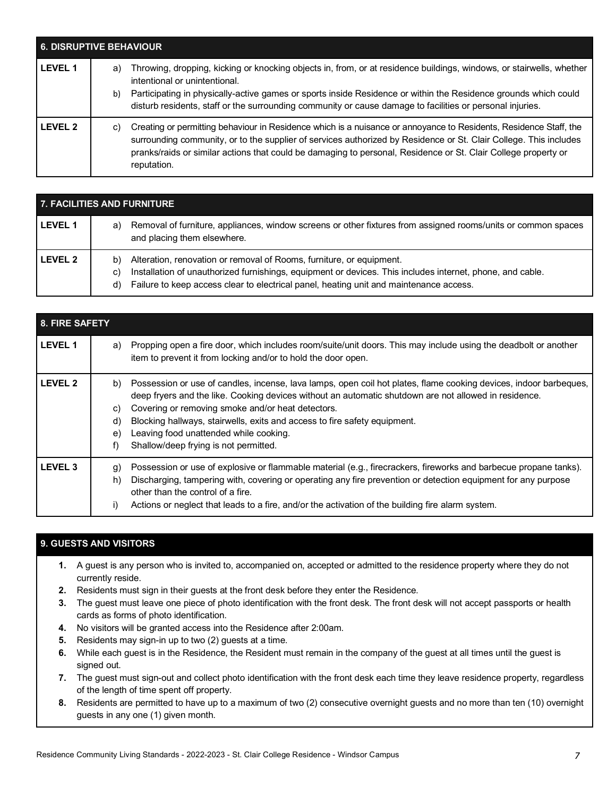| <b>6. DISRUPTIVE BEHAVIOUR</b> |          |                                                                                                                                                                                                                                                                                                                                                                                       |
|--------------------------------|----------|---------------------------------------------------------------------------------------------------------------------------------------------------------------------------------------------------------------------------------------------------------------------------------------------------------------------------------------------------------------------------------------|
| <b>LEVEL 1</b>                 | a)<br>b) | Throwing, dropping, kicking or knocking objects in, from, or at residence buildings, windows, or stairwells, whether<br>intentional or unintentional.<br>Participating in physically-active games or sports inside Residence or within the Residence grounds which could<br>disturb residents, staff or the surrounding community or cause damage to facilities or personal injuries. |
| I FVFI <sub>2</sub>            | C)       | Creating or permitting behaviour in Residence which is a nuisance or annoyance to Residents, Residence Staff, the<br>surrounding community, or to the supplier of services authorized by Residence or St. Clair College. This includes<br>pranks/raids or similar actions that could be damaging to personal, Residence or St. Clair College property or<br>reputation.               |

| 7. FACILITIES AND FURNITURE |                                                                                                                                                                                                                                                                                               |  |
|-----------------------------|-----------------------------------------------------------------------------------------------------------------------------------------------------------------------------------------------------------------------------------------------------------------------------------------------|--|
| <b>LEVEL 1</b>              | Removal of furniture, appliances, window screens or other fixtures from assigned rooms/units or common spaces<br>a)<br>and placing them elsewhere.                                                                                                                                            |  |
| <b>LEVEL 2</b>              | Alteration, renovation or removal of Rooms, furniture, or equipment.<br>b)<br>Installation of unauthorized furnishings, equipment or devices. This includes internet, phone, and cable.<br>C)<br>Failure to keep access clear to electrical panel, heating unit and maintenance access.<br>d) |  |

| 8. FIRE SAFETY |                                                                                                                                                                                                                                                                                                                                                                                                                                                                               |
|----------------|-------------------------------------------------------------------------------------------------------------------------------------------------------------------------------------------------------------------------------------------------------------------------------------------------------------------------------------------------------------------------------------------------------------------------------------------------------------------------------|
| <b>LEVEL 1</b> | Propping open a fire door, which includes room/suite/unit doors. This may include using the deadbolt or another<br>a)<br>item to prevent it from locking and/or to hold the door open.                                                                                                                                                                                                                                                                                        |
| <b>LEVEL 2</b> | Possession or use of candles, incense, lava lamps, open coil hot plates, flame cooking devices, indoor barbeques,<br>b)<br>deep fryers and the like. Cooking devices without an automatic shutdown are not allowed in residence.<br>Covering or removing smoke and/or heat detectors.<br>C)<br>Blocking hallways, stairwells, exits and access to fire safety equipment.<br>d)<br>Leaving food unattended while cooking.<br>e)<br>Shallow/deep frying is not permitted.<br>f) |
| <b>LEVEL 3</b> | Possession or use of explosive or flammable material (e.g., firecrackers, fireworks and barbecue propane tanks).<br>g)<br>Discharging, tampering with, covering or operating any fire prevention or detection equipment for any purpose<br>h)<br>other than the control of a fire.<br>Actions or neglect that leads to a fire, and/or the activation of the building fire alarm system.<br>i)                                                                                 |

# **9. GUESTS AND VISITORS**

- **1.** A guest is any person who is invited to, accompanied on, accepted or admitted to the residence property where they do not currently reside.
- **2.** Residents must sign in their guests at the front desk before they enter the Residence.
- **3.** The guest must leave one piece of photo identification with the front desk. The front desk will not accept passports or health cards as forms of photo identification.
- **4.** No visitors will be granted access into the Residence after 2:00am.
- **5.** Residents may sign-in up to two (2) guests at a time.
- **6.** While each guest is in the Residence, the Resident must remain in the company of the guest at all times until the guest is signed out.
- **7.** The guest must sign-out and collect photo identification with the front desk each time they leave residence property, regardless of the length of time spent off property.
- **8.** Residents are permitted to have up to a maximum of two (2) consecutive overnight guests and no more than ten (10) overnight guests in any one (1) given month.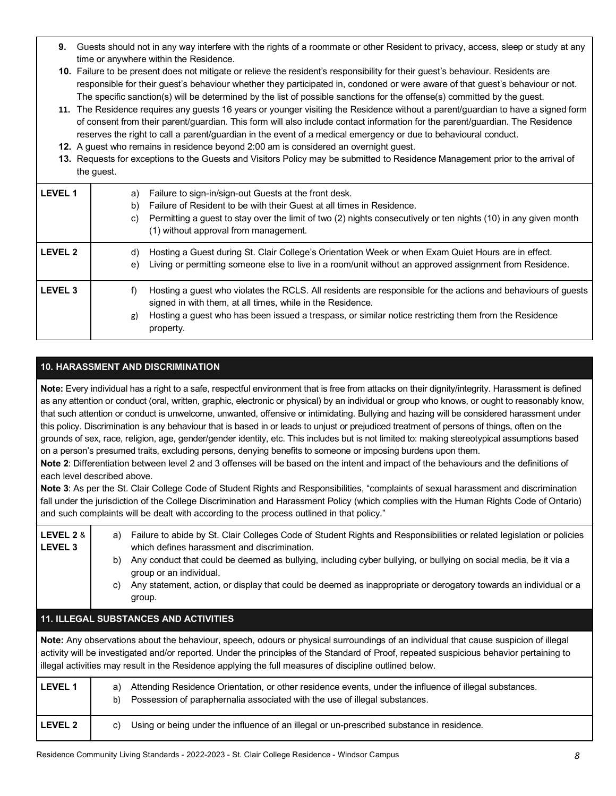- **9.** Guests should not in any way interfere with the rights of a roommate or other Resident to privacy, access, sleep or study at any time or anywhere within the Residence.
- **10.** Failure to be present does not mitigate or relieve the resident's responsibility for their guest's behaviour. Residents are responsible for their guest's behaviour whether they participated in, condoned or were aware of that guest's behaviour or not. The specific sanction(s) will be determined by the list of possible sanctions for the offense(s) committed by the guest.
- **11.** The Residence requires any guests 16 years or younger visiting the Residence without a parent/guardian to have a signed form of consent from their parent/guardian. This form will also include contact information for the parent/guardian. The Residence reserves the right to call a parent/guardian in the event of a medical emergency or due to behavioural conduct.
- **12.** A guest who remains in residence beyond 2:00 am is considered an overnight guest.
- **13.** Requests for exceptions to the Guests and Visitors Policy may be submitted to Residence Management prior to the arrival of the guest.

| <b>LEVEL 1</b> | Failure to sign-in/sign-out Guests at the front desk.<br>a)<br>Failure of Resident to be with their Guest at all times in Residence.<br>b)<br>Permitting a guest to stay over the limit of two (2) nights consecutively or ten nights (10) in any given month<br>C)<br>(1) without approval from management.  |
|----------------|---------------------------------------------------------------------------------------------------------------------------------------------------------------------------------------------------------------------------------------------------------------------------------------------------------------|
| <b>LEVEL 2</b> | Hosting a Guest during St. Clair College's Orientation Week or when Exam Quiet Hours are in effect.<br>d)<br>Living or permitting someone else to live in a room/unit without an approved assignment from Residence.<br>e)                                                                                    |
| <b>LEVEL 3</b> | Hosting a guest who violates the RCLS. All residents are responsible for the actions and behaviours of guests<br>f)<br>signed in with them, at all times, while in the Residence.<br>Hosting a guest who has been issued a trespass, or similar notice restricting them from the Residence<br>g)<br>property. |

## **10. HARASSMENT AND DISCRIMINATION**

**Note:** Every individual has a right to a safe, respectful environment that is free from attacks on their dignity/integrity. Harassment is defined as any attention or conduct (oral, written, graphic, electronic or physical) by an individual or group who knows, or ought to reasonably know, that such attention or conduct is unwelcome, unwanted, offensive or intimidating. Bullying and hazing will be considered harassment under this policy. Discrimination is any behaviour that is based in or leads to unjust or prejudiced treatment of persons of things, often on the grounds of sex, race, religion, age, gender/gender identity, etc. This includes but is not limited to: making stereotypical assumptions based on a person's presumed traits, excluding persons, denying benefits to someone or imposing burdens upon them.

**Note 2**: Differentiation between level 2 and 3 offenses will be based on the intent and impact of the behaviours and the definitions of each level described above.

**Note 3**: As per the St. Clair College Code of Student Rights and Responsibilities, "complaints of sexual harassment and discrimination fall under the jurisdiction of the College Discrimination and Harassment Policy (which complies with the Human Rights Code of Ontario) and such complaints will be dealt with according to the process outlined in that policy."

| LEVEL 2 &<br><b>LEVEL 3</b>                  | Failure to abide by St. Clair Colleges Code of Student Rights and Responsibilities or related legislation or policies<br>a)<br>which defines harassment and discrimination.<br>Any conduct that could be deemed as bullying, including cyber bullying, or bullying on social media, be it via a<br>b)<br>group or an individual.<br>Any statement, action, or display that could be deemed as inappropriate or derogatory towards an individual or a<br>C)<br>group. |  |
|----------------------------------------------|----------------------------------------------------------------------------------------------------------------------------------------------------------------------------------------------------------------------------------------------------------------------------------------------------------------------------------------------------------------------------------------------------------------------------------------------------------------------|--|
| <b>11. ILLEGAL SUBSTANCES AND ACTIVITIES</b> |                                                                                                                                                                                                                                                                                                                                                                                                                                                                      |  |
|                                              | Note: Any observations about the behaviour, speech, odours or physical surroundings of an individual that cause suspicion of illegal<br>activity will be investigated and/or reported. Under the principles of the Standard of Proof, repeated suspicious behavior pertaining to<br>illegal activities may result in the Residence applying the full measures of discipline outlined below.                                                                          |  |
| <b>LEVEL 1</b>                               | Attending Residence Orientation, or other residence events, under the influence of illegal substances.<br>a)<br>Possession of paraphernalia associated with the use of illegal substances.<br>b)                                                                                                                                                                                                                                                                     |  |
| <b>LEVEL 2</b>                               | Using or being under the influence of an illegal or un-prescribed substance in residence.<br>C)                                                                                                                                                                                                                                                                                                                                                                      |  |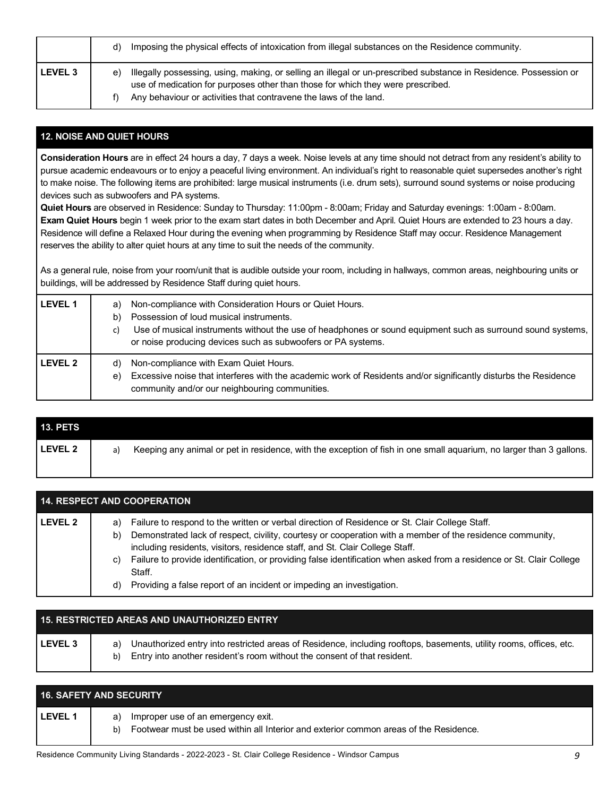|                | d) | Imposing the physical effects of intoxication from illegal substances on the Residence community.                                                                                                                                                                         |
|----------------|----|---------------------------------------------------------------------------------------------------------------------------------------------------------------------------------------------------------------------------------------------------------------------------|
| <b>LEVEL 3</b> | e) | Illegally possessing, using, making, or selling an illegal or un-prescribed substance in Residence. Possession or<br>use of medication for purposes other than those for which they were prescribed.<br>Any behaviour or activities that contravene the laws of the land. |

## **12. NOISE AND QUIET HOURS**

**Consideration Hours** are in effect 24 hours a day, 7 days a week. Noise levels at any time should not detract from any resident's ability to pursue academic endeavours or to enjoy a peaceful living environment. An individual's right to reasonable quiet supersedes another's right to make noise. The following items are prohibited: large musical instruments (i.e. drum sets), surround sound systems or noise producing devices such as subwoofers and PA systems.

**Quiet Hours** are observed in Residence: Sunday to Thursday: 11:00pm - 8:00am; Friday and Saturday evenings: 1:00am - 8:00am. **Exam Quiet Hours** begin 1 week prior to the exam start dates in both December and April. Quiet Hours are extended to 23 hours a day. Residence will define a Relaxed Hour during the evening when programming by Residence Staff may occur. Residence Management reserves the ability to alter quiet hours at any time to suit the needs of the community.

As a general rule, noise from your room/unit that is audible outside your room, including in hallways, common areas, neighbouring units or buildings, will be addressed by Residence Staff during quiet hours.

| <b>LEVEL 1</b> | a)<br>b)<br>C) | Non-compliance with Consideration Hours or Quiet Hours.<br>Possession of loud musical instruments.<br>Use of musical instruments without the use of headphones or sound equipment such as surround sound systems,<br>or noise producing devices such as subwoofers or PA systems. |
|----------------|----------------|-----------------------------------------------------------------------------------------------------------------------------------------------------------------------------------------------------------------------------------------------------------------------------------|
| <b>LEVEL 2</b> | d)<br>e)       | Non-compliance with Exam Quiet Hours.<br>Excessive noise that interferes with the academic work of Residents and/or significantly disturbs the Residence<br>community and/or our neighbouring communities.                                                                        |

| <b>13. PETS</b> |    |                                                                                                                     |
|-----------------|----|---------------------------------------------------------------------------------------------------------------------|
| l LEVEL 2       | a) | Keeping any animal or pet in residence, with the exception of fish in one small aguarium, no larger than 3 gallons. |
|                 |    |                                                                                                                     |

| <b>14. RESPECT AND COOPERATION</b> |                                                                                                                                                                                                                                                                                                                                                                                                                                                                                                                                 |  |
|------------------------------------|---------------------------------------------------------------------------------------------------------------------------------------------------------------------------------------------------------------------------------------------------------------------------------------------------------------------------------------------------------------------------------------------------------------------------------------------------------------------------------------------------------------------------------|--|
| <b>LEVEL 2</b>                     | Failure to respond to the written or verbal direction of Residence or St. Clair College Staff.<br>a)<br>Demonstrated lack of respect, civility, courtesy or cooperation with a member of the residence community,<br>b)<br>including residents, visitors, residence staff, and St. Clair College Staff.<br>Failure to provide identification, or providing false identification when asked from a residence or St. Clair College<br>C)<br>Staff.<br>Providing a false report of an incident or impeding an investigation.<br>d) |  |

| <b>15. RESTRICTED AREAS AND UNAUTHORIZED ENTRY</b> |                                                                                                                                                                                                            |  |  |
|----------------------------------------------------|------------------------------------------------------------------------------------------------------------------------------------------------------------------------------------------------------------|--|--|
| <b>LEVEL 3</b>                                     | Unauthorized entry into restricted areas of Residence, including rooftops, basements, utility rooms, offices, etc.<br>a)<br>Entry into another resident's room without the consent of that resident.<br>b) |  |  |

|                | <b>16. SAFETY AND SECURITY</b>                                                                                                       |
|----------------|--------------------------------------------------------------------------------------------------------------------------------------|
| <b>LEVEL 1</b> | a) Improper use of an emergency exit.<br>Footwear must be used within all Interior and exterior common areas of the Residence.<br>b) |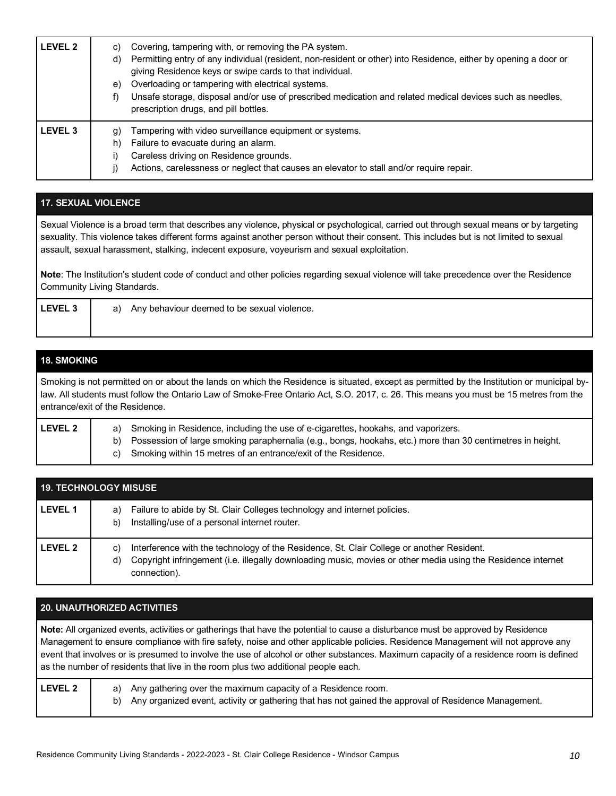| LEVEL 2            | Covering, tampering with, or removing the PA system.<br>C)<br>Permitting entry of any individual (resident, non-resident or other) into Residence, either by opening a door or<br>d)<br>giving Residence keys or swipe cards to that individual.<br>Overloading or tampering with electrical systems.<br>e)<br>Unsafe storage, disposal and/or use of prescribed medication and related medical devices such as needles,<br>prescription drugs, and pill bottles. |
|--------------------|-------------------------------------------------------------------------------------------------------------------------------------------------------------------------------------------------------------------------------------------------------------------------------------------------------------------------------------------------------------------------------------------------------------------------------------------------------------------|
| LEVEL <sub>3</sub> | Tampering with video surveillance equipment or systems.<br>g)<br>Failure to evacuate during an alarm.<br>h)<br>Careless driving on Residence grounds.<br>Actions, carelessness or neglect that causes an elevator to stall and/or require repair.                                                                                                                                                                                                                 |

## **17. SEXUAL VIOLENCE**

Sexual Violence is a broad term that describes any violence, physical or psychological, carried out through sexual means or by targeting sexuality. This violence takes different forms against another person without their consent. This includes but is not limited to sexual assault, sexual harassment, stalking, indecent exposure, voyeurism and sexual exploitation.

**Note**: The Institution's student code of conduct and other policies regarding sexual violence will take precedence over the Residence Community Living Standards.

| <b>FVFI</b> | / behaviour deemed to be sexual<br><sup>1</sup> violence.<br>Anv<br>$\sim$<br>a. |
|-------------|----------------------------------------------------------------------------------|
|             |                                                                                  |

## **18. SMOKING**

Smoking is not permitted on or about the lands on which the Residence is situated, except as permitted by the Institution or municipal bylaw. All students must follow the Ontario Law of Smoke-Free Ontario Act, S.O. 2017, c. 26. This means you must be 15 metres from the entrance/exit of the Residence.

| <b>LEVEL 2</b> | a) Smoking in Residence, including the use of e-cigarettes, hookahs, and vaporizers.                          |
|----------------|---------------------------------------------------------------------------------------------------------------|
|                | b) Possession of large smoking paraphernalia (e.g., bongs, hookahs, etc.) more than 30 centimetres in height. |
|                | c) Smoking within 15 metres of an entrance/exit of the Residence.                                             |
|                |                                                                                                               |

| <b>19. TECHNOLOGY MISUSE</b> |                                                                                                                                                                                                                                                 |  |
|------------------------------|-------------------------------------------------------------------------------------------------------------------------------------------------------------------------------------------------------------------------------------------------|--|
| <b>LEVEL 1</b>               | Failure to abide by St. Clair Colleges technology and internet policies.<br>a)<br>Installing/use of a personal internet router.<br>b)                                                                                                           |  |
| LEVEL 2                      | Interference with the technology of the Residence, St. Clair College or another Resident.<br>$\mathbf{C}$<br>Copyright infringement (i.e. illegally downloading music, movies or other media using the Residence internet<br>d)<br>connection). |  |

#### **20. UNAUTHORIZED ACTIVITIES**

**Note:** All organized events, activities or gatherings that have the potential to cause a disturbance must be approved by Residence Management to ensure compliance with fire safety, noise and other applicable policies. Residence Management will not approve any event that involves or is presumed to involve the use of alcohol or other substances. Maximum capacity of a residence room is defined as the number of residents that live in the room plus two additional people each.

| <b>LEVEL 2</b> | a) Any gathering over the maximum capacity of a Residence room.                                         |
|----------------|---------------------------------------------------------------------------------------------------------|
|                | b) Any organized event, activity or gathering that has not gained the approval of Residence Management. |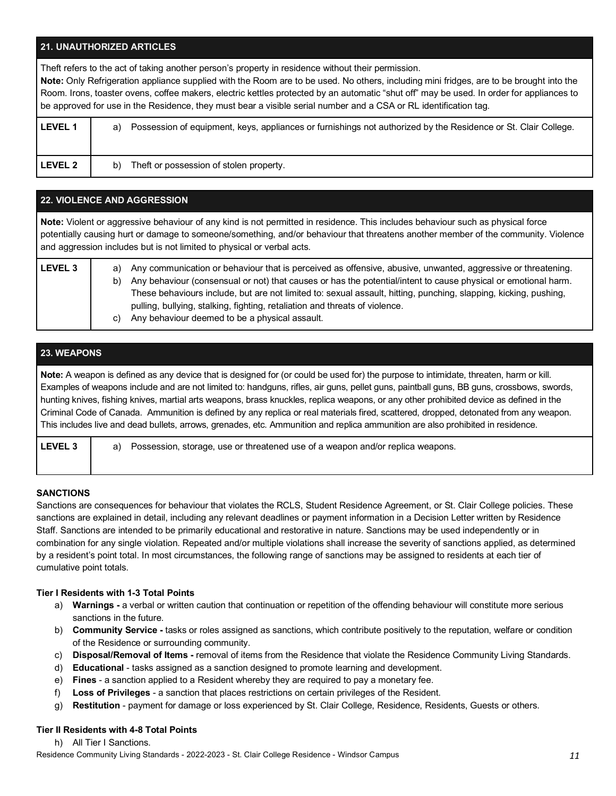## **21. UNAUTHORIZED ARTICLES**

Theft refers to the act of taking another person's property in residence without their permission.

**Note:** Only Refrigeration appliance supplied with the Room are to be used. No others, including mini fridges, are to be brought into the Room. Irons, toaster ovens, coffee makers, electric kettles protected by an automatic "shut off" may be used. In order for appliances to be approved for use in the Residence, they must bear a visible serial number and a CSA or RL identification tag.

| <b>LEVEL 1</b> | Possession of equipment, keys, appliances or furnishings not authorized by the Residence or St. Clair College.<br>a) |
|----------------|----------------------------------------------------------------------------------------------------------------------|
| <b>LEVEL 2</b> | Theft or possession of stolen property.<br>b)                                                                        |

## **22. VIOLENCE AND AGGRESSION**

**Note:** Violent or aggressive behaviour of any kind is not permitted in residence. This includes behaviour such as physical force potentially causing hurt or damage to someone/something, and/or behaviour that threatens another member of the community. Violence and aggression includes but is not limited to physical or verbal acts. **LEVEL 3** a) Any communication or behaviour that is perceived as offensive, abusive, unwanted, aggressive or threatening. b) Any behaviour (consensual or not) that causes or has the potential/intent to cause physical or emotional harm. These behaviours include, but are not limited to: sexual assault, hitting, punching, slapping, kicking, pushing, pulling, bullying, stalking, fighting, retaliation and threats of violence. c) Any behaviour deemed to be a physical assault.

**23. WEAPONS**

**Note:** A weapon is defined as any device that is designed for (or could be used for) the purpose to intimidate, threaten, harm or kill. Examples of weapons include and are not limited to: handguns, rifles, air guns, pellet guns, paintball guns, BB guns, crossbows, swords, hunting knives, fishing knives, martial arts weapons, brass knuckles, replica weapons, or any other prohibited device as defined in the Criminal Code of Canada. Ammunition is defined by any replica or real materials fired, scattered, dropped, detonated from any weapon. This includes live and dead bullets, arrows, grenades, etc. Ammunition and replica ammunition are also prohibited in residence.

| LEVEL 3 | a) Possession, storage, use or threatened use of a weapon and/or replica weapons. |  |
|---------|-----------------------------------------------------------------------------------|--|
|         |                                                                                   |  |

#### **SANCTIONS**

Sanctions are consequences for behaviour that violates the RCLS, Student Residence Agreement, or St. Clair College policies. These sanctions are explained in detail, including any relevant deadlines or payment information in a Decision Letter written by Residence Staff. Sanctions are intended to be primarily educational and restorative in nature. Sanctions may be used independently or in combination for any single violation. Repeated and/or multiple violations shall increase the severity of sanctions applied, as determined by a resident's point total. In most circumstances, the following range of sanctions may be assigned to residents at each tier of cumulative point totals.

#### **Tier I Residents with 1-3 Total Points**

- a) **Warnings -** a verbal or written caution that continuation or repetition of the offending behaviour will constitute more serious sanctions in the future.
- b) **Community Service -** tasks or roles assigned as sanctions, which contribute positively to the reputation, welfare or condition of the Residence or surrounding community.
- c) **Disposal/Removal of Items -** removal of items from the Residence that violate the Residence Community Living Standards.
- d) **Educational** tasks assigned as a sanction designed to promote learning and development.
- e) **Fines** a sanction applied to a Resident whereby they are required to pay a monetary fee.
- f) **Loss of Privileges** a sanction that places restrictions on certain privileges of the Resident.
- g) **Restitution** payment for damage or loss experienced by St. Clair College, Residence, Residents, Guests or others.

## **Tier II Residents with 4-8 Total Points**

h) All Tier I Sanctions.

Residence Community Living Standards - 2022-2023 - St. Clair College Residence - Windsor Campus *11*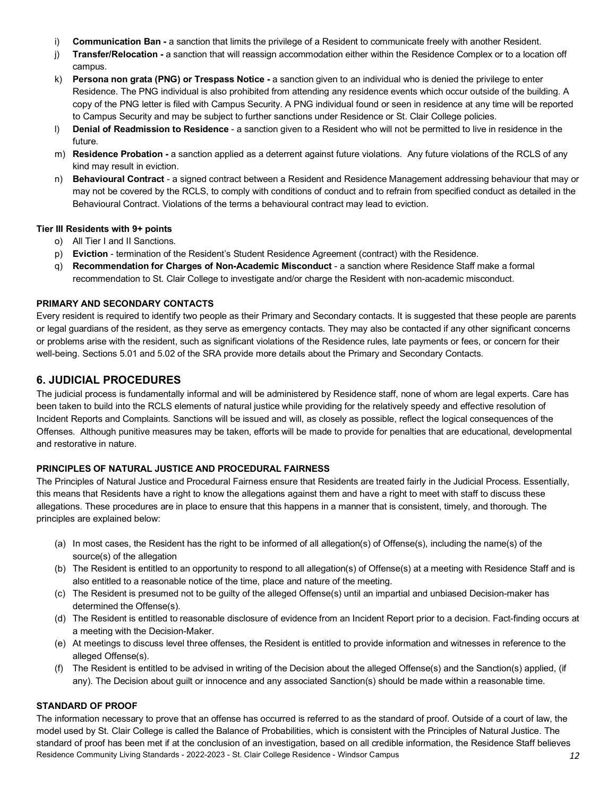- i) **Communication Ban -** a sanction that limits the privilege of a Resident to communicate freely with another Resident.
- j) **Transfer/Relocation -** a sanction that will reassign accommodation either within the Residence Complex or to a location off campus.
- k) **Persona non grata (PNG) or Trespass Notice -** a sanction given to an individual who is denied the privilege to enter Residence. The PNG individual is also prohibited from attending any residence events which occur outside of the building. A copy of the PNG letter is filed with Campus Security. A PNG individual found or seen in residence at any time will be reported to Campus Security and may be subject to further sanctions under Residence or St. Clair College policies.
- l) **Denial of Readmission to Residence** a sanction given to a Resident who will not be permitted to live in residence in the future.
- m) **Residence Probation -** a sanction applied as a deterrent against future violations. Any future violations of the RCLS of any kind may result in eviction.
- n) **Behavioural Contract** a signed contract between a Resident and Residence Management addressing behaviour that may or may not be covered by the RCLS, to comply with conditions of conduct and to refrain from specified conduct as detailed in the Behavioural Contract. Violations of the terms a behavioural contract may lead to eviction.

## **Tier III Residents with 9+ points**

- o) All Tier I and II Sanctions.
- p) **Eviction** termination of the Resident's Student Residence Agreement (contract) with the Residence.
- q) **Recommendation for Charges of Non-Academic Misconduct** a sanction where Residence Staff make a formal recommendation to St. Clair College to investigate and/or charge the Resident with non-academic misconduct.

## **PRIMARY AND SECONDARY CONTACTS**

Every resident is required to identify two people as their Primary and Secondary contacts. It is suggested that these people are parents or legal guardians of the resident, as they serve as emergency contacts. They may also be contacted if any other significant concerns or problems arise with the resident, such as significant violations of the Residence rules, late payments or fees, or concern for their well-being. Sections 5.01 and 5.02 of the SRA provide more details about the Primary and Secondary Contacts.

# **6. JUDICIAL PROCEDURES**

The judicial process is fundamentally informal and will be administered by Residence staff, none of whom are legal experts. Care has been taken to build into the RCLS elements of natural justice while providing for the relatively speedy and effective resolution of Incident Reports and Complaints. Sanctions will be issued and will, as closely as possible, reflect the logical consequences of the Offenses. Although punitive measures may be taken, efforts will be made to provide for penalties that are educational, developmental and restorative in nature.

## **PRINCIPLES OF NATURAL JUSTICE AND PROCEDURAL FAIRNESS**

The Principles of Natural Justice and Procedural Fairness ensure that Residents are treated fairly in the Judicial Process. Essentially, this means that Residents have a right to know the allegations against them and have a right to meet with staff to discuss these allegations. These procedures are in place to ensure that this happens in a manner that is consistent, timely, and thorough. The principles are explained below:

- (a) In most cases, the Resident has the right to be informed of all allegation(s) of Offense(s), including the name(s) of the source(s) of the allegation
- (b) The Resident is entitled to an opportunity to respond to all allegation(s) of Offense(s) at a meeting with Residence Staff and is also entitled to a reasonable notice of the time, place and nature of the meeting.
- (c) The Resident is presumed not to be guilty of the alleged Offense(s) until an impartial and unbiased Decision-maker has determined the Offense(s).
- (d) The Resident is entitled to reasonable disclosure of evidence from an Incident Report prior to a decision. Fact-finding occurs at a meeting with the Decision-Maker.
- (e) At meetings to discuss level three offenses, the Resident is entitled to provide information and witnesses in reference to the alleged Offense(s).
- (f) The Resident is entitled to be advised in writing of the Decision about the alleged Offense(s) and the Sanction(s) applied, (if any). The Decision about guilt or innocence and any associated Sanction(s) should be made within a reasonable time.

#### **STANDARD OF PROOF**

Residence Community Living Standards - 2022-2023 - St. Clair College Residence - Windsor Campus *12* The information necessary to prove that an offense has occurred is referred to as the standard of proof. Outside of a court of law, the model used by St. Clair College is called the Balance of Probabilities, which is consistent with the Principles of Natural Justice. The standard of proof has been met if at the conclusion of an investigation, based on all credible information, the Residence Staff believes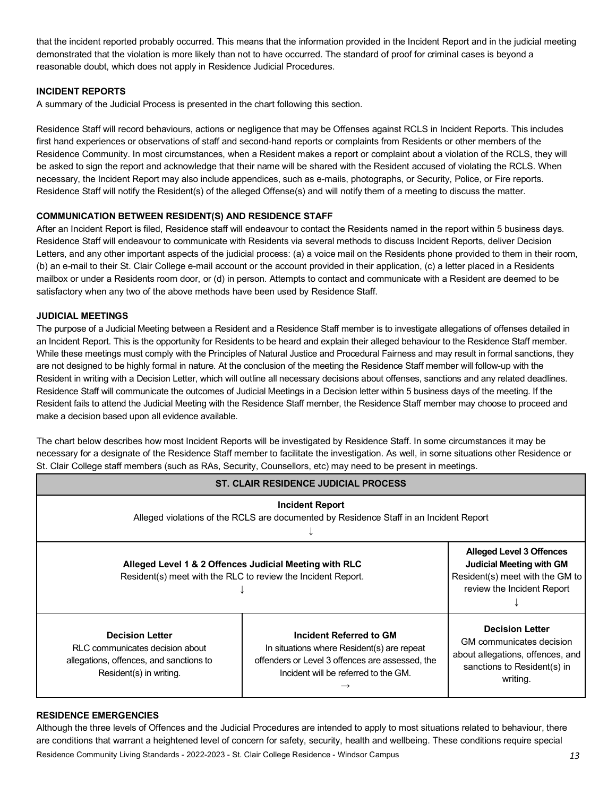that the incident reported probably occurred. This means that the information provided in the Incident Report and in the judicial meeting demonstrated that the violation is more likely than not to have occurred. The standard of proof for criminal cases is beyond a reasonable doubt, which does not apply in Residence Judicial Procedures.

## **INCIDENT REPORTS**

A summary of the Judicial Process is presented in the chart following this section.

Residence Staff will record behaviours, actions or negligence that may be Offenses against RCLS in Incident Reports. This includes first hand experiences or observations of staff and second-hand reports or complaints from Residents or other members of the Residence Community. In most circumstances, when a Resident makes a report or complaint about a violation of the RCLS, they will be asked to sign the report and acknowledge that their name will be shared with the Resident accused of violating the RCLS. When necessary, the Incident Report may also include appendices, such as e-mails, photographs, or Security, Police, or Fire reports. Residence Staff will notify the Resident(s) of the alleged Offense(s) and will notify them of a meeting to discuss the matter.

## **COMMUNICATION BETWEEN RESIDENT(S) AND RESIDENCE STAFF**

After an Incident Report is filed, Residence staff will endeavour to contact the Residents named in the report within 5 business days. Residence Staff will endeavour to communicate with Residents via several methods to discuss Incident Reports, deliver Decision Letters, and any other important aspects of the judicial process: (a) a voice mail on the Residents phone provided to them in their room, (b) an e-mail to their St. Clair College e-mail account or the account provided in their application, (c) a letter placed in a Residents mailbox or under a Residents room door, or (d) in person. Attempts to contact and communicate with a Resident are deemed to be satisfactory when any two of the above methods have been used by Residence Staff.

#### **JUDICIAL MEETINGS**

The purpose of a Judicial Meeting between a Resident and a Residence Staff member is to investigate allegations of offenses detailed in an Incident Report. This is the opportunity for Residents to be heard and explain their alleged behaviour to the Residence Staff member. While these meetings must comply with the Principles of Natural Justice and Procedural Fairness and may result in formal sanctions, they are not designed to be highly formal in nature. At the conclusion of the meeting the Residence Staff member will follow-up with the Resident in writing with a Decision Letter, which will outline all necessary decisions about offenses, sanctions and any related deadlines. Residence Staff will communicate the outcomes of Judicial Meetings in a Decision letter within 5 business days of the meeting. If the Resident fails to attend the Judicial Meeting with the Residence Staff member, the Residence Staff member may choose to proceed and make a decision based upon all evidence available.

The chart below describes how most Incident Reports will be investigated by Residence Staff. In some circumstances it may be necessary for a designate of the Residence Staff member to facilitate the investigation. As well, in some situations other Residence or St. Clair College staff members (such as RAs, Security, Counsellors, etc) may need to be present in meetings.

| <b>ST. CLAIR RESIDENCE JUDICIAL PROCESS</b>                                                                                     |                                                                                                                                                                  |                                                                                                                                   |  |  |
|---------------------------------------------------------------------------------------------------------------------------------|------------------------------------------------------------------------------------------------------------------------------------------------------------------|-----------------------------------------------------------------------------------------------------------------------------------|--|--|
| <b>Incident Report</b><br>Alleged violations of the RCLS are documented by Residence Staff in an Incident Report                |                                                                                                                                                                  |                                                                                                                                   |  |  |
|                                                                                                                                 | Alleged Level 1 & 2 Offences Judicial Meeting with RLC<br>Resident(s) meet with the RLC to review the Incident Report.                                           |                                                                                                                                   |  |  |
| <b>Decision Letter</b><br>RLC communicates decision about<br>allegations, offences, and sanctions to<br>Resident(s) in writing. | Incident Referred to GM<br>In situations where Resident(s) are repeat<br>offenders or Level 3 offences are assessed, the<br>Incident will be referred to the GM. | <b>Decision Letter</b><br>GM communicates decision<br>about allegations, offences, and<br>sanctions to Resident(s) in<br>writing. |  |  |

#### **RESIDENCE EMERGENCIES**

Residence Community Living Standards - 2022-2023 - St. Clair College Residence - Windsor Campus *13* Although the three levels of Offences and the Judicial Procedures are intended to apply to most situations related to behaviour, there are conditions that warrant a heightened level of concern for safety, security, health and wellbeing. These conditions require special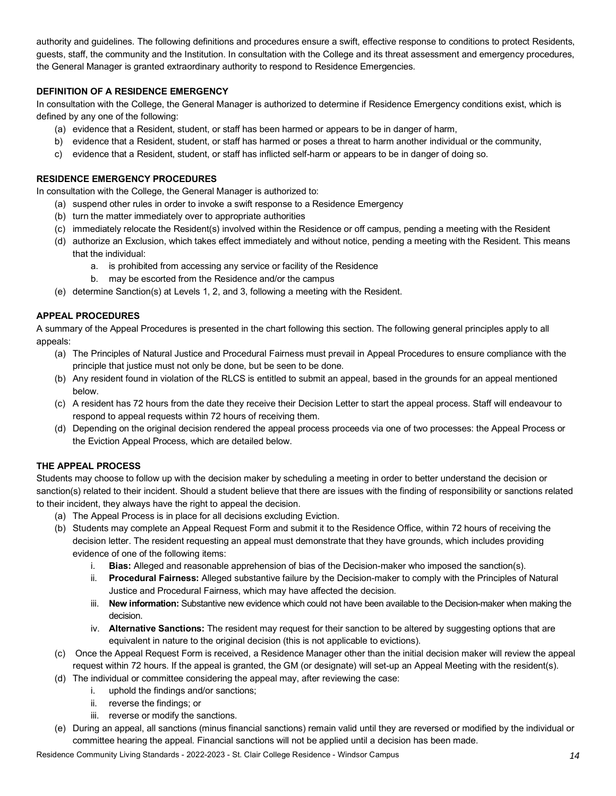authority and guidelines. The following definitions and procedures ensure a swift, effective response to conditions to protect Residents, guests, staff, the community and the Institution. In consultation with the College and its threat assessment and emergency procedures, the General Manager is granted extraordinary authority to respond to Residence Emergencies.

## **DEFINITION OF A RESIDENCE EMERGENCY**

In consultation with the College, the General Manager is authorized to determine if Residence Emergency conditions exist, which is defined by any one of the following:

- (a) evidence that a Resident, student, or staff has been harmed or appears to be in danger of harm,
- b) evidence that a Resident, student, or staff has harmed or poses a threat to harm another individual or the community,
- c) evidence that a Resident, student, or staff has inflicted self-harm or appears to be in danger of doing so.

## **RESIDENCE EMERGENCY PROCEDURES**

In consultation with the College, the General Manager is authorized to:

- (a) suspend other rules in order to invoke a swift response to a Residence Emergency
- (b) turn the matter immediately over to appropriate authorities
- (c) immediately relocate the Resident(s) involved within the Residence or off campus, pending a meeting with the Resident
- (d) authorize an Exclusion, which takes effect immediately and without notice, pending a meeting with the Resident. This means that the individual:
	- a. is prohibited from accessing any service or facility of the Residence
	- b. may be escorted from the Residence and/or the campus
- (e) determine Sanction(s) at Levels 1, 2, and 3, following a meeting with the Resident.

## **APPEAL PROCEDURES**

A summary of the Appeal Procedures is presented in the chart following this section. The following general principles apply to all appeals:

- (a) The Principles of Natural Justice and Procedural Fairness must prevail in Appeal Procedures to ensure compliance with the principle that justice must not only be done, but be seen to be done.
- (b) Any resident found in violation of the RLCS is entitled to submit an appeal, based in the grounds for an appeal mentioned below.
- (c) A resident has 72 hours from the date they receive their Decision Letter to start the appeal process. Staff will endeavour to respond to appeal requests within 72 hours of receiving them.
- (d) Depending on the original decision rendered the appeal process proceeds via one of two processes: the Appeal Process or the Eviction Appeal Process, which are detailed below.

## **THE APPEAL PROCESS**

Students may choose to follow up with the decision maker by scheduling a meeting in order to better understand the decision or sanction(s) related to their incident. Should a student believe that there are issues with the finding of responsibility or sanctions related to their incident, they always have the right to appeal the decision.

- (a) The Appeal Process is in place for all decisions excluding Eviction.
- (b) Students may complete an Appeal Request Form and submit it to the Residence Office, within 72 hours of receiving the decision letter. The resident requesting an appeal must demonstrate that they have grounds, which includes providing evidence of one of the following items:
	- i. **Bias:** Alleged and reasonable apprehension of bias of the Decision-maker who imposed the sanction(s).
	- ii. **Procedural Fairness:** Alleged substantive failure by the Decision-maker to comply with the Principles of Natural Justice and Procedural Fairness, which may have affected the decision.
	- iii. **New information:** Substantive new evidence which could not have been available to the Decision-maker when making the decision.
	- iv. **Alternative Sanctions:** The resident may request for their sanction to be altered by suggesting options that are equivalent in nature to the original decision (this is not applicable to evictions).
- (c) Once the Appeal Request Form is received, a Residence Manager other than the initial decision maker will review the appeal request within 72 hours. If the appeal is granted, the GM (or designate) will set-up an Appeal Meeting with the resident(s).
- (d) The individual or committee considering the appeal may, after reviewing the case:
	- i. uphold the findings and/or sanctions;
		- ii. reverse the findings; or
		- iii. reverse or modify the sanctions.
- (e) During an appeal, all sanctions (minus financial sanctions) remain valid until they are reversed or modified by the individual or committee hearing the appeal. Financial sanctions will not be applied until a decision has been made.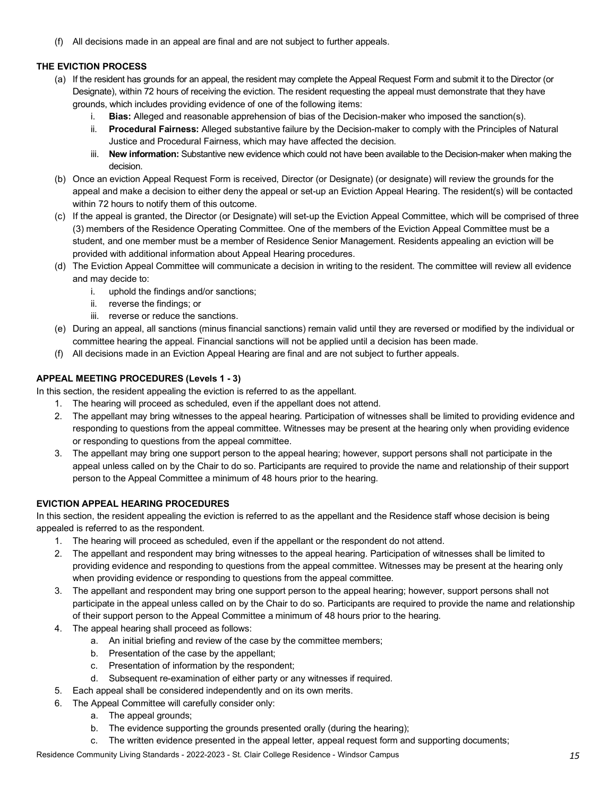(f) All decisions made in an appeal are final and are not subject to further appeals.

## **THE EVICTION PROCESS**

- (a) If the resident has grounds for an appeal, the resident may complete the Appeal Request Form and submit it to the Director (or Designate), within 72 hours of receiving the eviction. The resident requesting the appeal must demonstrate that they have grounds, which includes providing evidence of one of the following items:
	- i. **Bias:** Alleged and reasonable apprehension of bias of the Decision-maker who imposed the sanction(s).
	- ii. **Procedural Fairness:** Alleged substantive failure by the Decision-maker to comply with the Principles of Natural Justice and Procedural Fairness, which may have affected the decision.
	- iii. **New information:** Substantive new evidence which could not have been available to the Decision-maker when making the decision.
- (b) Once an eviction Appeal Request Form is received, Director (or Designate) (or designate) will review the grounds for the appeal and make a decision to either deny the appeal or set-up an Eviction Appeal Hearing. The resident(s) will be contacted within 72 hours to notify them of this outcome.
- (c) If the appeal is granted, the Director (or Designate) will set-up the Eviction Appeal Committee, which will be comprised of three (3) members of the Residence Operating Committee. One of the members of the Eviction Appeal Committee must be a student, and one member must be a member of Residence Senior Management. Residents appealing an eviction will be provided with additional information about Appeal Hearing procedures.
- (d) The Eviction Appeal Committee will communicate a decision in writing to the resident. The committee will review all evidence and may decide to:
	- i. uphold the findings and/or sanctions;
	- ii. reverse the findings; or
	- iii. reverse or reduce the sanctions.
- (e) During an appeal, all sanctions (minus financial sanctions) remain valid until they are reversed or modified by the individual or committee hearing the appeal. Financial sanctions will not be applied until a decision has been made.
- (f) All decisions made in an Eviction Appeal Hearing are final and are not subject to further appeals.

## **APPEAL MEETING PROCEDURES (Levels 1 - 3)**

In this section, the resident appealing the eviction is referred to as the appellant.

- 1. The hearing will proceed as scheduled, even if the appellant does not attend.
- 2. The appellant may bring witnesses to the appeal hearing. Participation of witnesses shall be limited to providing evidence and responding to questions from the appeal committee. Witnesses may be present at the hearing only when providing evidence or responding to questions from the appeal committee.
- 3. The appellant may bring one support person to the appeal hearing; however, support persons shall not participate in the appeal unless called on by the Chair to do so. Participants are required to provide the name and relationship of their support person to the Appeal Committee a minimum of 48 hours prior to the hearing.

## **EVICTION APPEAL HEARING PROCEDURES**

In this section, the resident appealing the eviction is referred to as the appellant and the Residence staff whose decision is being appealed is referred to as the respondent.

- 1. The hearing will proceed as scheduled, even if the appellant or the respondent do not attend.
- 2. The appellant and respondent may bring witnesses to the appeal hearing. Participation of witnesses shall be limited to providing evidence and responding to questions from the appeal committee. Witnesses may be present at the hearing only when providing evidence or responding to questions from the appeal committee.
- 3. The appellant and respondent may bring one support person to the appeal hearing; however, support persons shall not participate in the appeal unless called on by the Chair to do so. Participants are required to provide the name and relationship of their support person to the Appeal Committee a minimum of 48 hours prior to the hearing.
- 4. The appeal hearing shall proceed as follows:
	- a. An initial briefing and review of the case by the committee members;
	- b. Presentation of the case by the appellant;
	- c. Presentation of information by the respondent;
	- d. Subsequent re-examination of either party or any witnesses if required.
- 5. Each appeal shall be considered independently and on its own merits.
- 6. The Appeal Committee will carefully consider only:
	- a. The appeal grounds;
	- b. The evidence supporting the grounds presented orally (during the hearing);
	- c. The written evidence presented in the appeal letter, appeal request form and supporting documents;

Residence Community Living Standards - 2022-2023 - St. Clair College Residence - Windsor Campus *15*